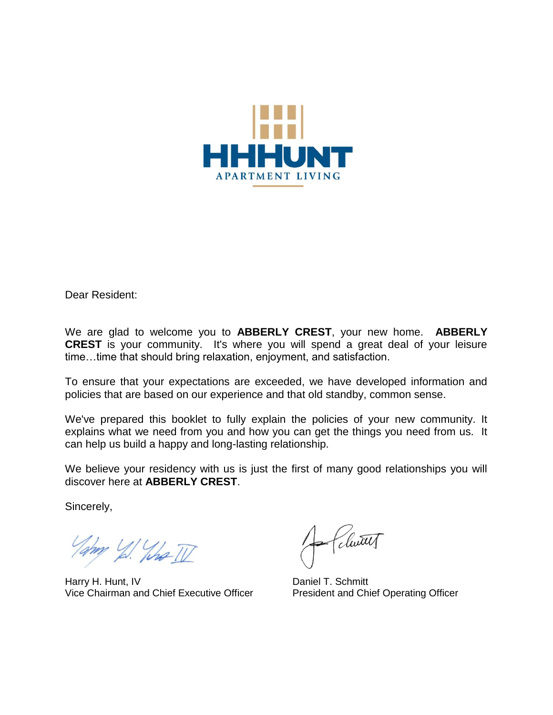

Dear Resident:

We are glad to welcome you to **ABBERLY CREST**, your new home. **ABBERLY CREST** is your community. It's where you will spend a great deal of your leisure time…time that should bring relaxation, enjoyment, and satisfaction.

To ensure that your expectations are exceeded, we have developed information and policies that are based on our experience and that old standby, common sense.

We've prepared this booklet to fully explain the policies of your new community. It explains what we need from you and how you can get the things you need from us. It can help us build a happy and long-lasting relationship.

We believe your residency with us is just the first of many good relationships you will discover here at **ABBERLY CREST**.

Sincerely,

Tampy 1/2 What II

Harry H. Hunt, IV<br>Vice Chairman and Chief Executive Officer<br>President and Chief Operating Officer Vice Chairman and Chief Executive Officer

Clutt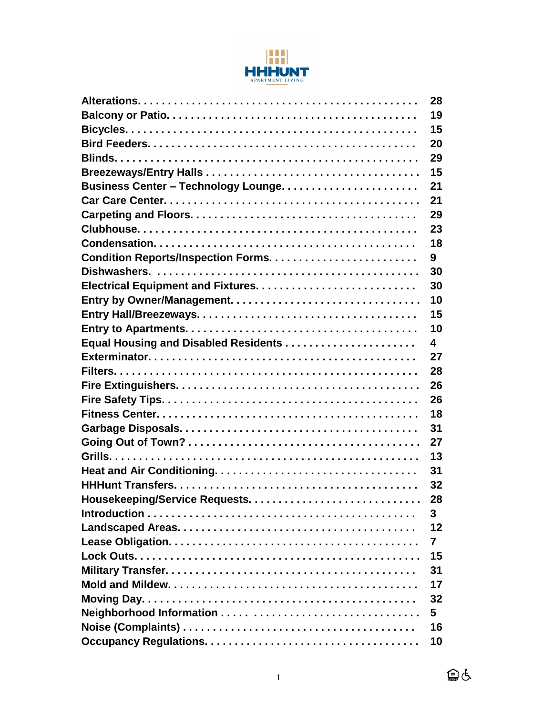

|                                      | 28 |
|--------------------------------------|----|
|                                      | 19 |
|                                      | 15 |
|                                      | 20 |
|                                      | 29 |
|                                      | 15 |
|                                      | 21 |
|                                      | 21 |
|                                      | 29 |
|                                      | 23 |
|                                      | 18 |
|                                      | 9  |
|                                      | 30 |
|                                      | 30 |
|                                      | 10 |
|                                      | 15 |
|                                      | 10 |
| Equal Housing and Disabled Residents | 4  |
|                                      | 27 |
|                                      | 28 |
|                                      | 26 |
|                                      | 26 |
|                                      | 18 |
|                                      | 31 |
|                                      | 27 |
|                                      | 13 |
|                                      | 31 |
|                                      | 32 |
|                                      | 28 |
|                                      | 3  |
|                                      | 12 |
|                                      | 7  |
|                                      | 15 |
|                                      | 31 |
|                                      | 17 |
|                                      | 32 |
|                                      | 5  |
|                                      | 16 |
|                                      | 10 |

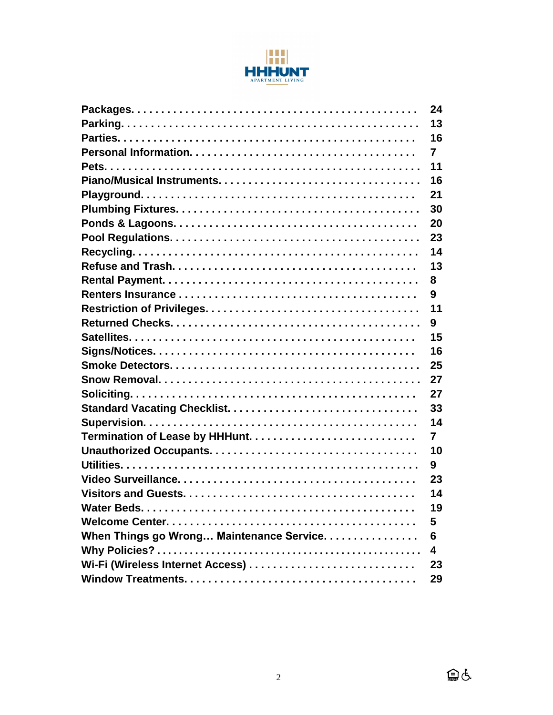

|                                           | 24                      |
|-------------------------------------------|-------------------------|
|                                           | 13                      |
|                                           | 16                      |
|                                           | $\overline{7}$          |
|                                           | 11                      |
|                                           | 16                      |
|                                           | 21                      |
|                                           | 30                      |
|                                           | 20                      |
|                                           | 23                      |
|                                           | 14                      |
|                                           | 13                      |
|                                           | 8                       |
|                                           | 9                       |
|                                           | 11                      |
|                                           | 9                       |
|                                           | 15                      |
|                                           | 16                      |
|                                           | 25                      |
|                                           | 27                      |
|                                           | 27                      |
|                                           | 33                      |
|                                           | 14                      |
|                                           | $\overline{7}$          |
|                                           | 10                      |
|                                           | 9                       |
|                                           | 23                      |
|                                           | 14                      |
|                                           | 19                      |
|                                           | 5                       |
| When Things go Wrong Maintenance Service. | 6                       |
|                                           | $\overline{\mathbf{4}}$ |
|                                           | 23                      |
|                                           | 29                      |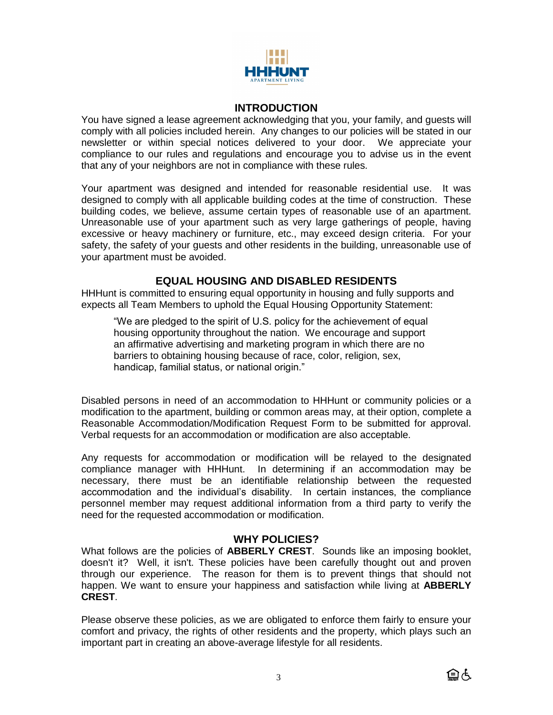

#### **INTRODUCTION**

You have signed a lease agreement acknowledging that you, your family, and guests will comply with all policies included herein. Any changes to our policies will be stated in our newsletter or within special notices delivered to your door. We appreciate your compliance to our rules and regulations and encourage you to advise us in the event that any of your neighbors are not in compliance with these rules.

Your apartment was designed and intended for reasonable residential use. It was designed to comply with all applicable building codes at the time of construction. These building codes, we believe, assume certain types of reasonable use of an apartment. Unreasonable use of your apartment such as very large gatherings of people, having excessive or heavy machinery or furniture, etc., may exceed design criteria. For your safety, the safety of your guests and other residents in the building, unreasonable use of your apartment must be avoided.

## **EQUAL HOUSING AND DISABLED RESIDENTS**

HHHunt is committed to ensuring equal opportunity in housing and fully supports and expects all Team Members to uphold the Equal Housing Opportunity Statement:

"We are pledged to the spirit of U.S. policy for the achievement of equal housing opportunity throughout the nation. We encourage and support an affirmative advertising and marketing program in which there are no barriers to obtaining housing because of race, color, religion, sex, handicap, familial status, or national origin."

Disabled persons in need of an accommodation to HHHunt or community policies or a modification to the apartment, building or common areas may, at their option, complete a Reasonable Accommodation/Modification Request Form to be submitted for approval. Verbal requests for an accommodation or modification are also acceptable.

Any requests for accommodation or modification will be relayed to the designated compliance manager with HHHunt. In determining if an accommodation may be necessary, there must be an identifiable relationship between the requested accommodation and the individual's disability. In certain instances, the compliance personnel member may request additional information from a third party to verify the need for the requested accommodation or modification.

# **WHY POLICIES?**

What follows are the policies of **ABBERLY CREST**. Sounds like an imposing booklet, doesn't it? Well, it isn't. These policies have been carefully thought out and proven through our experience. The reason for them is to prevent things that should not happen. We want to ensure your happiness and satisfaction while living at **ABBERLY CREST**.

Please observe these policies, as we are obligated to enforce them fairly to ensure your comfort and privacy, the rights of other residents and the property, which plays such an important part in creating an above-average lifestyle for all residents.

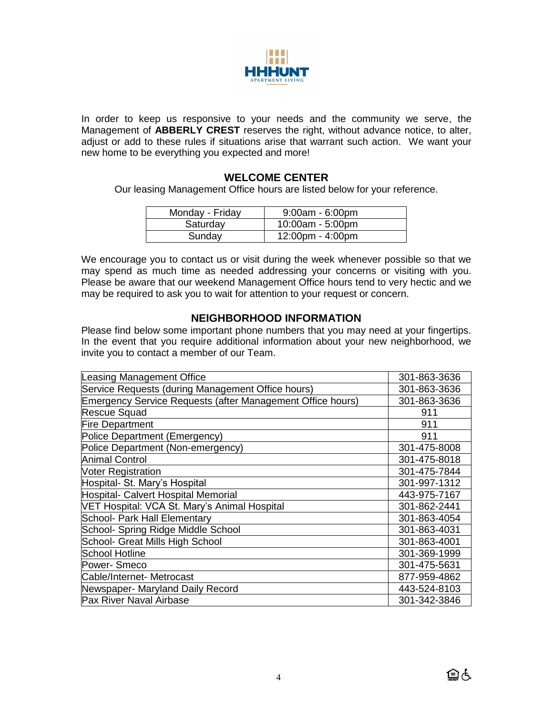

In order to keep us responsive to your needs and the community we serve, the Management of **ABBERLY CREST** reserves the right, without advance notice, to alter, adjust or add to these rules if situations arise that warrant such action. We want your new home to be everything you expected and more!

## **WELCOME CENTER**

Our leasing Management Office hours are listed below for your reference.

| Monday - Friday | $9:00am - 6:00pm$                  |
|-----------------|------------------------------------|
| Saturday        | $10:00am - 5:00pm$                 |
| Sunday          | $12:00 \text{pm} - 4:00 \text{pm}$ |

We encourage you to contact us or visit during the week whenever possible so that we may spend as much time as needed addressing your concerns or visiting with you. Please be aware that our weekend Management Office hours tend to very hectic and we may be required to ask you to wait for attention to your request or concern.

## **NEIGHBORHOOD INFORMATION**

Please find below some important phone numbers that you may need at your fingertips. In the event that you require additional information about your new neighborhood, we invite you to contact a member of our Team.

| 301-863-3636 |
|--------------|
| 301-863-3636 |
| 301-863-3636 |
| 911          |
| 911          |
| 911          |
| 301-475-8008 |
| 301-475-8018 |
| 301-475-7844 |
| 301-997-1312 |
| 443-975-7167 |
| 301-862-2441 |
| 301-863-4054 |
| 301-863-4031 |
| 301-863-4001 |
| 301-369-1999 |
| 301-475-5631 |
| 877-959-4862 |
| 443-524-8103 |
| 301-342-3846 |
|              |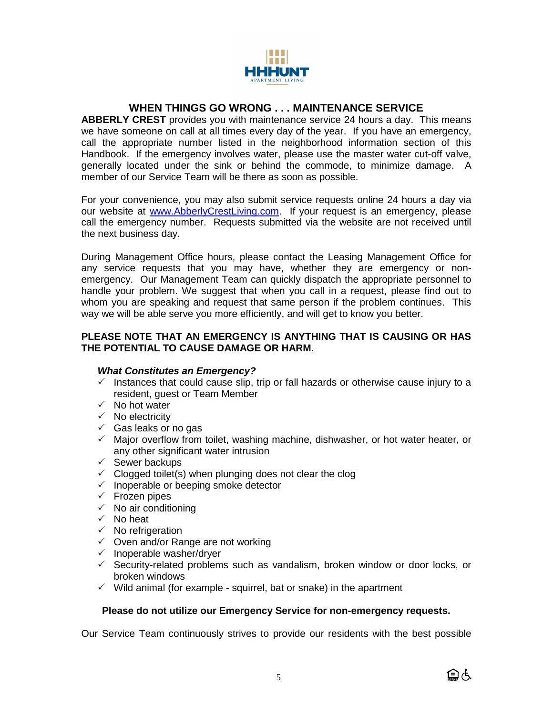

# **WHEN THINGS GO WRONG . . . MAINTENANCE SERVICE**

**ABBERLY CREST** provides you with maintenance service 24 hours a day. This means we have someone on call at all times every day of the year. If you have an emergency, call the appropriate number listed in the neighborhood information section of this Handbook. If the emergency involves water, please use the master water cut-off valve, generally located under the sink or behind the commode, to minimize damage. A member of our Service Team will be there as soon as possible.

For your convenience, you may also submit service requests online 24 hours a day via our website at [www.AbberlyCrestLiving.com.](http://www.abberlycrestliving.com/) If your request is an emergency, please call the emergency number. Requests submitted via the website are not received until the next business day.

During Management Office hours, please contact the Leasing Management Office for any service requests that you may have, whether they are emergency or nonemergency. Our Management Team can quickly dispatch the appropriate personnel to handle your problem. We suggest that when you call in a request, please find out to whom you are speaking and request that same person if the problem continues. This way we will be able serve you more efficiently, and will get to know you better.

#### **PLEASE NOTE THAT AN EMERGENCY IS ANYTHING THAT IS CAUSING OR HAS THE POTENTIAL TO CAUSE DAMAGE OR HARM.**

## *What Constitutes an Emergency?*

- $\checkmark$  Instances that could cause slip, trip or fall hazards or otherwise cause injury to a resident, guest or Team Member
- $\checkmark$  No hot water
- $\checkmark$  No electricity
- $\checkmark$  Gas leaks or no gas
- $\checkmark$  Major overflow from toilet, washing machine, dishwasher, or hot water heater, or any other significant water intrusion
- $\checkmark$  Sewer backups
- $\checkmark$  Clogged toilet(s) when plunging does not clear the clog
- $\checkmark$  Inoperable or beeping smoke detector
- $\checkmark$  Frozen pipes
- $\checkmark$  No air conditioning
- $\checkmark$  No heat
- $\checkmark$  No refrigeration
- $\checkmark$  Oven and/or Range are not working
- $\checkmark$  Inoperable washer/dryer
- $\checkmark$  Security-related problems such as vandalism, broken window or door locks, or broken windows
- $\checkmark$  Wild animal (for example squirrel, bat or snake) in the apartment

#### **Please do not utilize our Emergency Service for non-emergency requests.**

Our Service Team continuously strives to provide our residents with the best possible

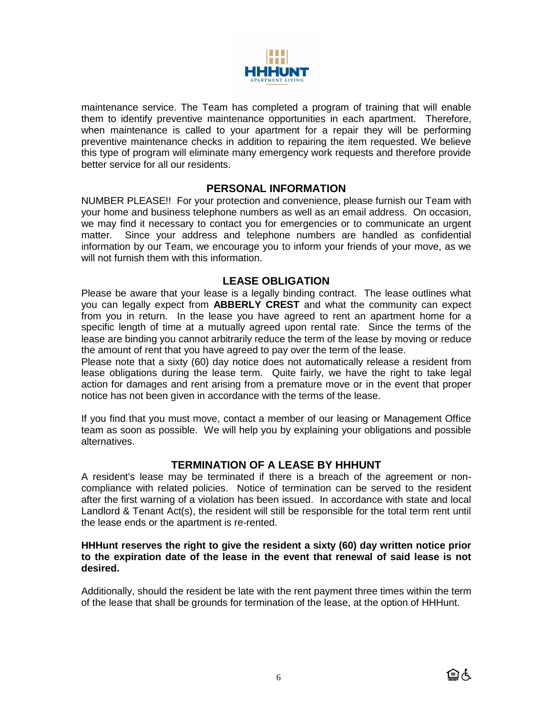

maintenance service. The Team has completed a program of training that will enable them to identify preventive maintenance opportunities in each apartment. Therefore, when maintenance is called to your apartment for a repair they will be performing preventive maintenance checks in addition to repairing the item requested. We believe this type of program will eliminate many emergency work requests and therefore provide better service for all our residents.

## **PERSONAL INFORMATION**

NUMBER PLEASE!! For your protection and convenience, please furnish our Team with your home and business telephone numbers as well as an email address. On occasion, we may find it necessary to contact you for emergencies or to communicate an urgent matter. Since your address and telephone numbers are handled as confidential information by our Team, we encourage you to inform your friends of your move, as we will not furnish them with this information.

## **LEASE OBLIGATION**

Please be aware that your lease is a legally binding contract. The lease outlines what you can legally expect from **ABBERLY CREST** and what the community can expect from you in return. In the lease you have agreed to rent an apartment home for a specific length of time at a mutually agreed upon rental rate. Since the terms of the lease are binding you cannot arbitrarily reduce the term of the lease by moving or reduce the amount of rent that you have agreed to pay over the term of the lease.

Please note that a sixty (60) day notice does not automatically release a resident from lease obligations during the lease term. Quite fairly, we have the right to take legal action for damages and rent arising from a premature move or in the event that proper notice has not been given in accordance with the terms of the lease.

If you find that you must move, contact a member of our leasing or Management Office team as soon as possible. We will help you by explaining your obligations and possible alternatives.

# **TERMINATION OF A LEASE BY HHHUNT**

A resident's lease may be terminated if there is a breach of the agreement or noncompliance with related policies. Notice of termination can be served to the resident after the first warning of a violation has been issued. In accordance with state and local Landlord & Tenant Act(s), the resident will still be responsible for the total term rent until the lease ends or the apartment is re-rented.

#### **HHHunt reserves the right to give the resident a sixty (60) day written notice prior to the expiration date of the lease in the event that renewal of said lease is not desired.**

Additionally, should the resident be late with the rent payment three times within the term of the lease that shall be grounds for termination of the lease, at the option of HHHunt.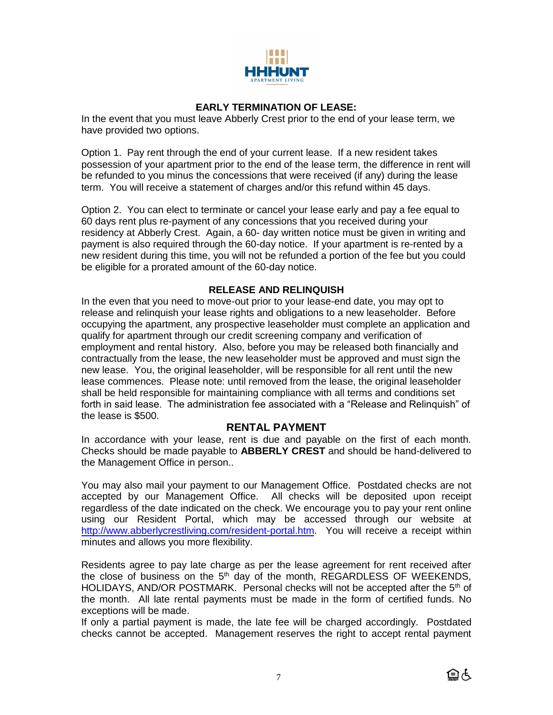

## **EARLY TERMINATION OF LEASE:**

In the event that you must leave Abberly Crest prior to the end of your lease term, we have provided two options.

Option 1. Pay rent through the end of your current lease. If a new resident takes possession of your apartment prior to the end of the lease term, the difference in rent will be refunded to you minus the concessions that were received (if any) during the lease term. You will receive a statement of charges and/or this refund within 45 days.

Option 2. You can elect to terminate or cancel your lease early and pay a fee equal to 60 days rent plus re-payment of any concessions that you received during your residency at Abberly Crest. Again, a 60- day written notice must be given in writing and payment is also required through the 60-day notice. If your apartment is re-rented by a new resident during this time, you will not be refunded a portion of the fee but you could be eligible for a prorated amount of the 60-day notice.

#### **RELEASE AND RELINQUISH**

In the even that you need to move-out prior to your lease-end date, you may opt to release and relinquish your lease rights and obligations to a new leaseholder. Before occupying the apartment, any prospective leaseholder must complete an application and qualify for apartment through our credit screening company and verification of employment and rental history. Also, before you may be released both financially and contractually from the lease, the new leaseholder must be approved and must sign the new lease. You, the original leaseholder, will be responsible for all rent until the new lease commences. Please note: until removed from the lease, the original leaseholder shall be held responsible for maintaining compliance with all terms and conditions set forth in said lease. The administration fee associated with a "Release and Relinquish" of the lease is \$500.

## **RENTAL PAYMENT**

In accordance with your lease, rent is due and payable on the first of each month. Checks should be made payable to **ABBERLY CREST** and should be hand-delivered to the Management Office in person..

You may also mail your payment to our Management Office. Postdated checks are not accepted by our Management Office. All checks will be deposited upon receipt regardless of the date indicated on the check. We encourage you to pay your rent online using our Resident Portal, which may be accessed through our website at [http://www.abberlycrestliving.com/resident-portal.htm.](http://www.abberlycrestliving.com/resident-portal.htm) You will receive a receipt within minutes and allows you more flexibility.

Residents agree to pay late charge as per the lease agreement for rent received after the close of business on the  $5<sup>th</sup>$  day of the month, REGARDLESS OF WEEKENDS, HOLIDAYS, AND/OR POSTMARK. Personal checks will not be accepted after the 5<sup>th</sup> of the month. All late rental payments must be made in the form of certified funds. No exceptions will be made.

If only a partial payment is made, the late fee will be charged accordingly. Postdated checks cannot be accepted. Management reserves the right to accept rental payment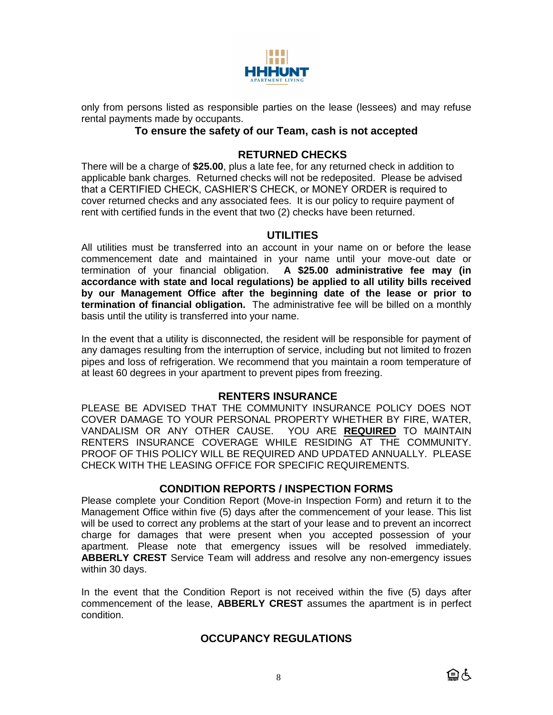

only from persons listed as responsible parties on the lease (lessees) and may refuse rental payments made by occupants.

## **To ensure the safety of our Team, cash is not accepted**

# **RETURNED CHECKS**

There will be a charge of **\$25.00**, plus a late fee, for any returned check in addition to applicable bank charges. Returned checks will not be redeposited. Please be advised that a CERTIFIED CHECK, CASHIER'S CHECK, or MONEY ORDER is required to cover returned checks and any associated fees. It is our policy to require payment of rent with certified funds in the event that two (2) checks have been returned.

# **UTILITIES**

All utilities must be transferred into an account in your name on or before the lease commencement date and maintained in your name until your move-out date or termination of your financial obligation. **A \$25.00 administrative fee may (in accordance with state and local regulations) be applied to all utility bills received by our Management Office after the beginning date of the lease or prior to termination of financial obligation.** The administrative fee will be billed on a monthly basis until the utility is transferred into your name.

In the event that a utility is disconnected, the resident will be responsible for payment of any damages resulting from the interruption of service, including but not limited to frozen pipes and loss of refrigeration. We recommend that you maintain a room temperature of at least 60 degrees in your apartment to prevent pipes from freezing.

## **RENTERS INSURANCE**

PLEASE BE ADVISED THAT THE COMMUNITY INSURANCE POLICY DOES NOT COVER DAMAGE TO YOUR PERSONAL PROPERTY WHETHER BY FIRE, WATER, VANDALISM OR ANY OTHER CAUSE. YOU ARE **REQUIRED** TO MAINTAIN RENTERS INSURANCE COVERAGE WHILE RESIDING AT THE COMMUNITY. PROOF OF THIS POLICY WILL BE REQUIRED AND UPDATED ANNUALLY. PLEASE CHECK WITH THE LEASING OFFICE FOR SPECIFIC REQUIREMENTS.

# **CONDITION REPORTS / INSPECTION FORMS**

Please complete your Condition Report (Move-in Inspection Form) and return it to the Management Office within five (5) days after the commencement of your lease. This list will be used to correct any problems at the start of your lease and to prevent an incorrect charge for damages that were present when you accepted possession of your apartment. Please note that emergency issues will be resolved immediately. **ABBERLY CREST** Service Team will address and resolve any non-emergency issues within 30 days.

In the event that the Condition Report is not received within the five (5) days after commencement of the lease, **ABBERLY CREST** assumes the apartment is in perfect condition.

# **OCCUPANCY REGULATIONS**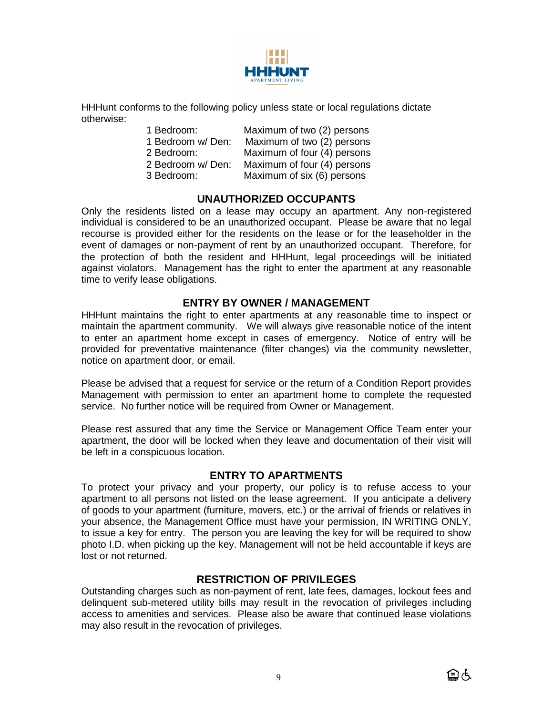

HHHunt conforms to the following policy unless state or local regulations dictate otherwise:

| 1 Bedroom:        | Maximum of two (2) persons  |
|-------------------|-----------------------------|
| 1 Bedroom w/ Den: | Maximum of two (2) persons  |
| 2 Bedroom:        | Maximum of four (4) persons |
| 2 Bedroom w/ Den: | Maximum of four (4) persons |
| 3 Bedroom:        | Maximum of six (6) persons  |

# **UNAUTHORIZED OCCUPANTS**

Only the residents listed on a lease may occupy an apartment. Any non-registered individual is considered to be an unauthorized occupant. Please be aware that no legal recourse is provided either for the residents on the lease or for the leaseholder in the event of damages or non-payment of rent by an unauthorized occupant. Therefore, for the protection of both the resident and HHHunt, legal proceedings will be initiated against violators. Management has the right to enter the apartment at any reasonable time to verify lease obligations.

## **ENTRY BY OWNER / MANAGEMENT**

HHHunt maintains the right to enter apartments at any reasonable time to inspect or maintain the apartment community. We will always give reasonable notice of the intent to enter an apartment home except in cases of emergency. Notice of entry will be provided for preventative maintenance (filter changes) via the community newsletter, notice on apartment door, or email.

Please be advised that a request for service or the return of a Condition Report provides Management with permission to enter an apartment home to complete the requested service. No further notice will be required from Owner or Management.

Please rest assured that any time the Service or Management Office Team enter your apartment, the door will be locked when they leave and documentation of their visit will be left in a conspicuous location.

#### **ENTRY TO APARTMENTS**

To protect your privacy and your property, our policy is to refuse access to your apartment to all persons not listed on the lease agreement. If you anticipate a delivery of goods to your apartment (furniture, movers, etc.) or the arrival of friends or relatives in your absence, the Management Office must have your permission, IN WRITING ONLY, to issue a key for entry. The person you are leaving the key for will be required to show photo I.D. when picking up the key. Management will not be held accountable if keys are lost or not returned.

## **RESTRICTION OF PRIVILEGES**

Outstanding charges such as non-payment of rent, late fees, damages, lockout fees and delinquent sub-metered utility bills may result in the revocation of privileges including access to amenities and services. Please also be aware that continued lease violations may also result in the revocation of privileges.

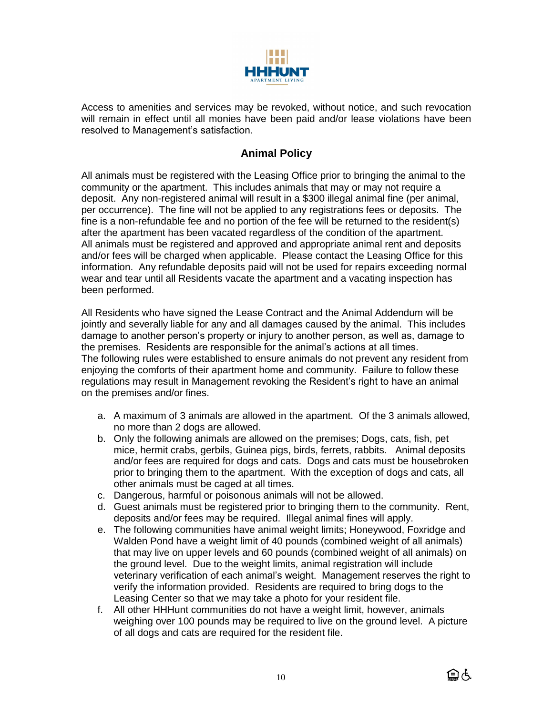

Access to amenities and services may be revoked, without notice, and such revocation will remain in effect until all monies have been paid and/or lease violations have been resolved to Management's satisfaction.

# **Animal Policy**

All animals must be registered with the Leasing Office prior to bringing the animal to the community or the apartment. This includes animals that may or may not require a deposit. Any non-registered animal will result in a \$300 illegal animal fine (per animal, per occurrence). The fine will not be applied to any registrations fees or deposits. The fine is a non-refundable fee and no portion of the fee will be returned to the resident(s) after the apartment has been vacated regardless of the condition of the apartment. All animals must be registered and approved and appropriate animal rent and deposits and/or fees will be charged when applicable. Please contact the Leasing Office for this information. Any refundable deposits paid will not be used for repairs exceeding normal wear and tear until all Residents vacate the apartment and a vacating inspection has been performed.

All Residents who have signed the Lease Contract and the Animal Addendum will be jointly and severally liable for any and all damages caused by the animal. This includes damage to another person's property or injury to another person, as well as, damage to the premises. Residents are responsible for the animal's actions at all times. The following rules were established to ensure animals do not prevent any resident from enjoying the comforts of their apartment home and community. Failure to follow these regulations may result in Management revoking the Resident's right to have an animal on the premises and/or fines.

- a. A maximum of 3 animals are allowed in the apartment. Of the 3 animals allowed, no more than 2 dogs are allowed.
- b. Only the following animals are allowed on the premises; Dogs, cats, fish, pet mice, hermit crabs, gerbils, Guinea pigs, birds, ferrets, rabbits. Animal deposits and/or fees are required for dogs and cats. Dogs and cats must be housebroken prior to bringing them to the apartment. With the exception of dogs and cats, all other animals must be caged at all times.
- c. Dangerous, harmful or poisonous animals will not be allowed.
- d. Guest animals must be registered prior to bringing them to the community. Rent, deposits and/or fees may be required. Illegal animal fines will apply.
- e. The following communities have animal weight limits; Honeywood, Foxridge and Walden Pond have a weight limit of 40 pounds (combined weight of all animals) that may live on upper levels and 60 pounds (combined weight of all animals) on the ground level. Due to the weight limits, animal registration will include veterinary verification of each animal's weight. Management reserves the right to verify the information provided. Residents are required to bring dogs to the Leasing Center so that we may take a photo for your resident file.
- f. All other HHHunt communities do not have a weight limit, however, animals weighing over 100 pounds may be required to live on the ground level. A picture of all dogs and cats are required for the resident file.

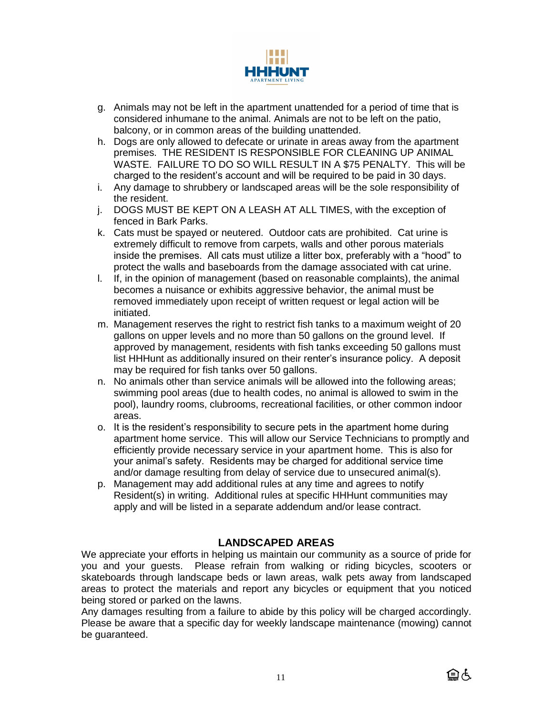

- g. Animals may not be left in the apartment unattended for a period of time that is considered inhumane to the animal. Animals are not to be left on the patio, balcony, or in common areas of the building unattended.
- h. Dogs are only allowed to defecate or urinate in areas away from the apartment premises. THE RESIDENT IS RESPONSIBLE FOR CLEANING UP ANIMAL WASTE. FAILURE TO DO SO WILL RESULT IN A \$75 PENALTY. This will be charged to the resident's account and will be required to be paid in 30 days.
- i. Any damage to shrubbery or landscaped areas will be the sole responsibility of the resident.
- j. DOGS MUST BE KEPT ON A LEASH AT ALL TIMES, with the exception of fenced in Bark Parks.
- k. Cats must be spayed or neutered. Outdoor cats are prohibited. Cat urine is extremely difficult to remove from carpets, walls and other porous materials inside the premises. All cats must utilize a litter box, preferably with a "hood" to protect the walls and baseboards from the damage associated with cat urine.
- l. If, in the opinion of management (based on reasonable complaints), the animal becomes a nuisance or exhibits aggressive behavior, the animal must be removed immediately upon receipt of written request or legal action will be initiated.
- m. Management reserves the right to restrict fish tanks to a maximum weight of 20 gallons on upper levels and no more than 50 gallons on the ground level. If approved by management, residents with fish tanks exceeding 50 gallons must list HHHunt as additionally insured on their renter's insurance policy. A deposit may be required for fish tanks over 50 gallons.
- n. No animals other than service animals will be allowed into the following areas; swimming pool areas (due to health codes, no animal is allowed to swim in the pool), laundry rooms, clubrooms, recreational facilities, or other common indoor areas.
- o. It is the resident's responsibility to secure pets in the apartment home during apartment home service. This will allow our Service Technicians to promptly and efficiently provide necessary service in your apartment home. This is also for your animal's safety. Residents may be charged for additional service time and/or damage resulting from delay of service due to unsecured animal(s).
- p. Management may add additional rules at any time and agrees to notify Resident(s) in writing. Additional rules at specific HHHunt communities may apply and will be listed in a separate addendum and/or lease contract.

# **LANDSCAPED AREAS**

We appreciate your efforts in helping us maintain our community as a source of pride for you and your guests. Please refrain from walking or riding bicycles, scooters or skateboards through landscape beds or lawn areas, walk pets away from landscaped areas to protect the materials and report any bicycles or equipment that you noticed being stored or parked on the lawns.

Any damages resulting from a failure to abide by this policy will be charged accordingly. Please be aware that a specific day for weekly landscape maintenance (mowing) cannot be guaranteed.

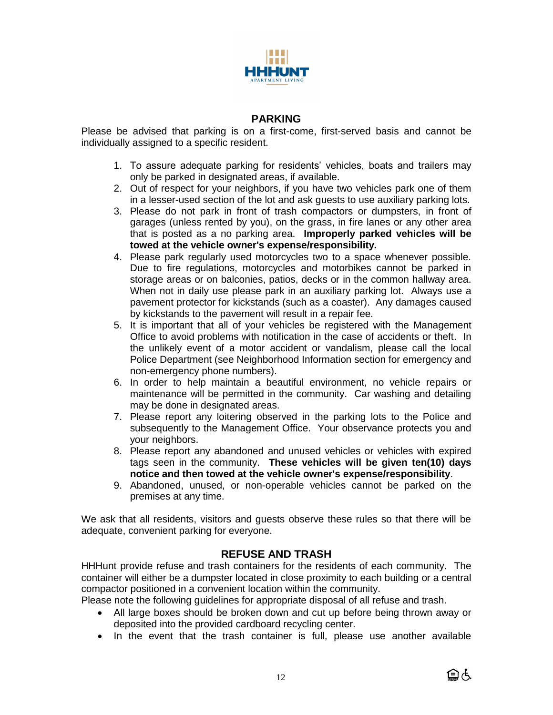

# **PARKING**

Please be advised that parking is on a first-come, first-served basis and cannot be individually assigned to a specific resident.

- 1. To assure adequate parking for residents' vehicles, boats and trailers may only be parked in designated areas, if available.
- 2. Out of respect for your neighbors, if you have two vehicles park one of them in a lesser-used section of the lot and ask guests to use auxiliary parking lots.
- 3. Please do not park in front of trash compactors or dumpsters, in front of garages (unless rented by you), on the grass, in fire lanes or any other area that is posted as a no parking area. **Improperly parked vehicles will be towed at the vehicle owner's expense/responsibility.**
- 4. Please park regularly used motorcycles two to a space whenever possible. Due to fire regulations, motorcycles and motorbikes cannot be parked in storage areas or on balconies, patios, decks or in the common hallway area. When not in daily use please park in an auxiliary parking lot. Always use a pavement protector for kickstands (such as a coaster). Any damages caused by kickstands to the pavement will result in a repair fee.
- 5. It is important that all of your vehicles be registered with the Management Office to avoid problems with notification in the case of accidents or theft. In the unlikely event of a motor accident or vandalism, please call the local Police Department (see Neighborhood Information section for emergency and non-emergency phone numbers).
- 6. In order to help maintain a beautiful environment, no vehicle repairs or maintenance will be permitted in the community. Car washing and detailing may be done in designated areas.
- 7. Please report any loitering observed in the parking lots to the Police and subsequently to the Management Office. Your observance protects you and your neighbors.
- 8. Please report any abandoned and unused vehicles or vehicles with expired tags seen in the community. **These vehicles will be given ten(10) days notice and then towed at the vehicle owner's expense/responsibility**.
- 9. Abandoned, unused, or non-operable vehicles cannot be parked on the premises at any time.

We ask that all residents, visitors and guests observe these rules so that there will be adequate, convenient parking for everyone.

# **REFUSE AND TRASH**

HHHunt provide refuse and trash containers for the residents of each community. The container will either be a dumpster located in close proximity to each building or a central compactor positioned in a convenient location within the community.

Please note the following guidelines for appropriate disposal of all refuse and trash.

- All large boxes should be broken down and cut up before being thrown away or deposited into the provided cardboard recycling center.
- In the event that the trash container is full, please use another available

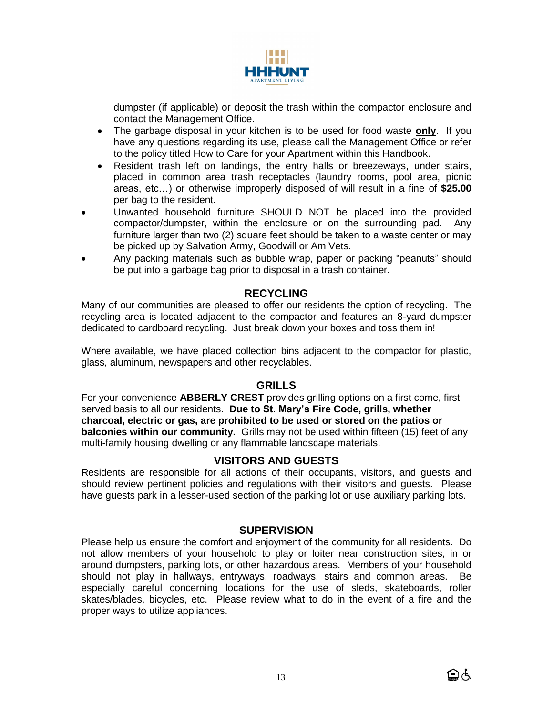

dumpster (if applicable) or deposit the trash within the compactor enclosure and contact the Management Office.

- The garbage disposal in your kitchen is to be used for food waste **only**. If you have any questions regarding its use, please call the Management Office or refer to the policy titled How to Care for your Apartment within this Handbook.
- Resident trash left on landings, the entry halls or breezeways, under stairs, placed in common area trash receptacles (laundry rooms, pool area, picnic areas, etc…) or otherwise improperly disposed of will result in a fine of **\$25.00** per bag to the resident.
- Unwanted household furniture SHOULD NOT be placed into the provided compactor/dumpster, within the enclosure or on the surrounding pad. Any furniture larger than two (2) square feet should be taken to a waste center or may be picked up by Salvation Army, Goodwill or Am Vets.
- Any packing materials such as bubble wrap, paper or packing "peanuts" should be put into a garbage bag prior to disposal in a trash container.

# **RECYCLING**

Many of our communities are pleased to offer our residents the option of recycling. The recycling area is located adjacent to the compactor and features an 8-yard dumpster dedicated to cardboard recycling. Just break down your boxes and toss them in!

Where available, we have placed collection bins adjacent to the compactor for plastic, glass, aluminum, newspapers and other recyclables.

## **GRILLS**

For your convenience **ABBERLY CREST** provides grilling options on a first come, first served basis to all our residents. **Due to St. Mary's Fire Code, grills, whether charcoal, electric or gas, are prohibited to be used or stored on the patios or balconies within our community.** Grills may not be used within fifteen (15) feet of any multi-family housing dwelling or any flammable landscape materials.

## **VISITORS AND GUESTS**

Residents are responsible for all actions of their occupants, visitors, and guests and should review pertinent policies and regulations with their visitors and guests. Please have guests park in a lesser-used section of the parking lot or use auxiliary parking lots.

## **SUPERVISION**

Please help us ensure the comfort and enjoyment of the community for all residents. Do not allow members of your household to play or loiter near construction sites, in or around dumpsters, parking lots, or other hazardous areas. Members of your household should not play in hallways, entryways, roadways, stairs and common areas. Be especially careful concerning locations for the use of sleds, skateboards, roller skates/blades, bicycles, etc. Please review what to do in the event of a fire and the proper ways to utilize appliances.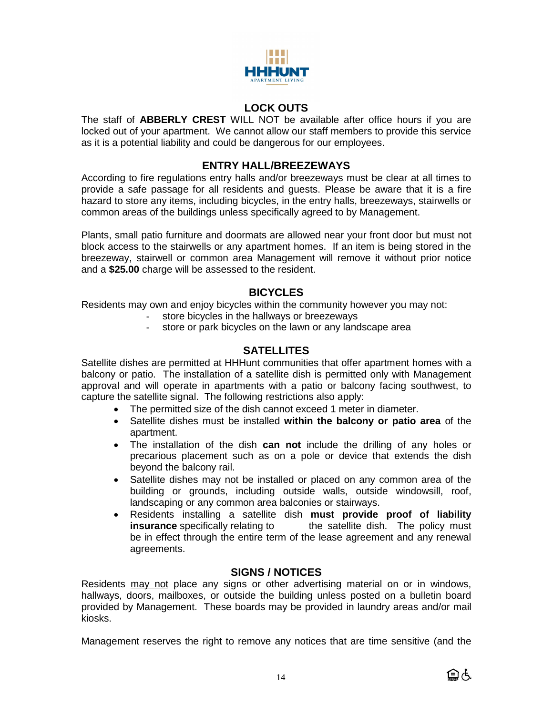

# **LOCK OUTS**

The staff of **ABBERLY CREST** WILL NOT be available after office hours if you are locked out of your apartment. We cannot allow our staff members to provide this service as it is a potential liability and could be dangerous for our employees.

# **ENTRY HALL/BREEZEWAYS**

According to fire regulations entry halls and/or breezeways must be clear at all times to provide a safe passage for all residents and guests. Please be aware that it is a fire hazard to store any items, including bicycles, in the entry halls, breezeways, stairwells or common areas of the buildings unless specifically agreed to by Management.

Plants, small patio furniture and doormats are allowed near your front door but must not block access to the stairwells or any apartment homes. If an item is being stored in the breezeway, stairwell or common area Management will remove it without prior notice and a **\$25.00** charge will be assessed to the resident.

# **BICYCLES**

Residents may own and enjoy bicycles within the community however you may not:

- store bicycles in the hallways or breezeways
- store or park bicycles on the lawn or any landscape area

# **SATELLITES**

Satellite dishes are permitted at HHHunt communities that offer apartment homes with a balcony or patio. The installation of a satellite dish is permitted only with Management approval and will operate in apartments with a patio or balcony facing southwest, to capture the satellite signal. The following restrictions also apply:

- The permitted size of the dish cannot exceed 1 meter in diameter.
- Satellite dishes must be installed **within the balcony or patio area** of the apartment.
- The installation of the dish **can not** include the drilling of any holes or precarious placement such as on a pole or device that extends the dish beyond the balcony rail.
- Satellite dishes may not be installed or placed on any common area of the building or grounds, including outside walls, outside windowsill, roof, landscaping or any common area balconies or stairways.
- Residents installing a satellite dish **must provide proof of liability insurance** specifically relating to the satellite dish. The policy must be in effect through the entire term of the lease agreement and any renewal agreements.

## **SIGNS / NOTICES**

Residents may not place any signs or other advertising material on or in windows, hallways, doors, mailboxes, or outside the building unless posted on a bulletin board provided by Management. These boards may be provided in laundry areas and/or mail kiosks.

Management reserves the right to remove any notices that are time sensitive (and the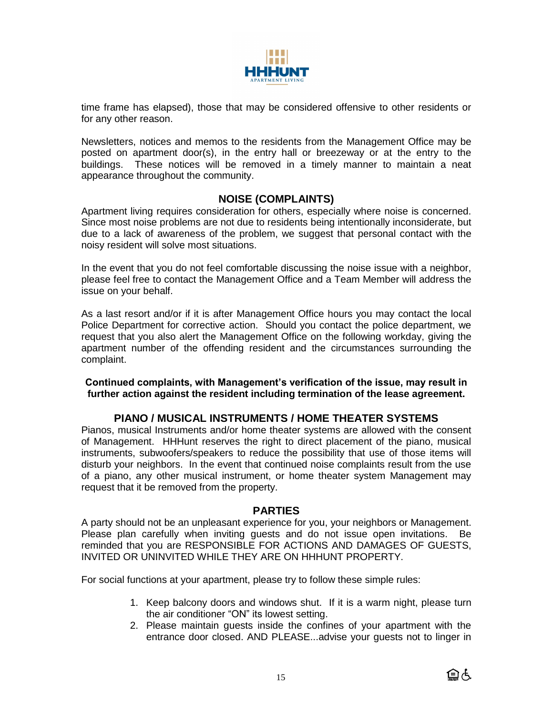

time frame has elapsed), those that may be considered offensive to other residents or for any other reason.

Newsletters, notices and memos to the residents from the Management Office may be posted on apartment door(s), in the entry hall or breezeway or at the entry to the buildings. These notices will be removed in a timely manner to maintain a neat appearance throughout the community.

# **NOISE (COMPLAINTS)**

Apartment living requires consideration for others, especially where noise is concerned. Since most noise problems are not due to residents being intentionally inconsiderate, but due to a lack of awareness of the problem, we suggest that personal contact with the noisy resident will solve most situations.

In the event that you do not feel comfortable discussing the noise issue with a neighbor, please feel free to contact the Management Office and a Team Member will address the issue on your behalf.

As a last resort and/or if it is after Management Office hours you may contact the local Police Department for corrective action. Should you contact the police department, we request that you also alert the Management Office on the following workday, giving the apartment number of the offending resident and the circumstances surrounding the complaint.

**Continued complaints, with Management's verification of the issue, may result in further action against the resident including termination of the lease agreement.**

## **PIANO / MUSICAL INSTRUMENTS / HOME THEATER SYSTEMS**

Pianos, musical Instruments and/or home theater systems are allowed with the consent of Management. HHHunt reserves the right to direct placement of the piano, musical instruments, subwoofers/speakers to reduce the possibility that use of those items will disturb your neighbors. In the event that continued noise complaints result from the use of a piano, any other musical instrument, or home theater system Management may request that it be removed from the property.

## **PARTIES**

A party should not be an unpleasant experience for you, your neighbors or Management. Please plan carefully when inviting guests and do not issue open invitations. Be reminded that you are RESPONSIBLE FOR ACTIONS AND DAMAGES OF GUESTS, INVITED OR UNINVITED WHILE THEY ARE ON HHHUNT PROPERTY.

For social functions at your apartment, please try to follow these simple rules:

- 1. Keep balcony doors and windows shut. If it is a warm night, please turn the air conditioner "ON" its lowest setting.
- 2. Please maintain guests inside the confines of your apartment with the entrance door closed. AND PLEASE...advise your guests not to linger in

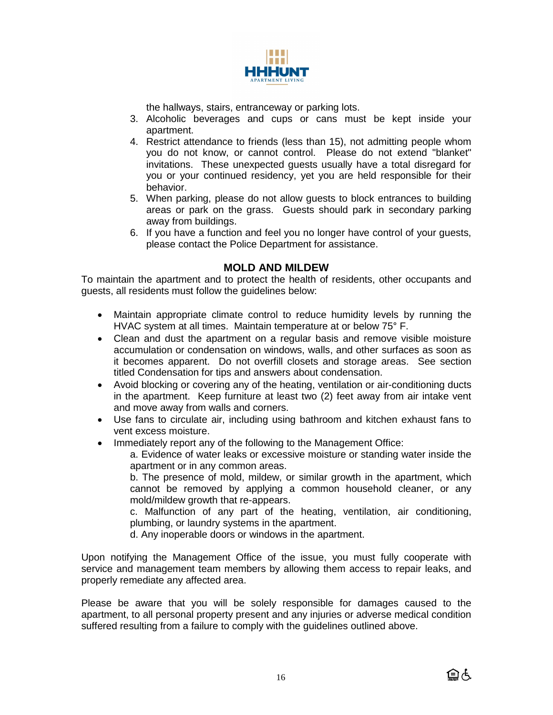

the hallways, stairs, entranceway or parking lots.

- 3. Alcoholic beverages and cups or cans must be kept inside your apartment.
- 4. Restrict attendance to friends (less than 15), not admitting people whom you do not know, or cannot control. Please do not extend "blanket" invitations. These unexpected guests usually have a total disregard for you or your continued residency, yet you are held responsible for their behavior.
- 5. When parking, please do not allow guests to block entrances to building areas or park on the grass. Guests should park in secondary parking away from buildings.
- 6. If you have a function and feel you no longer have control of your guests, please contact the Police Department for assistance.

# **MOLD AND MILDEW**

To maintain the apartment and to protect the health of residents, other occupants and guests, all residents must follow the guidelines below:

- Maintain appropriate climate control to reduce humidity levels by running the HVAC system at all times. Maintain temperature at or below 75° F.
- Clean and dust the apartment on a regular basis and remove visible moisture accumulation or condensation on windows, walls, and other surfaces as soon as it becomes apparent. Do not overfill closets and storage areas. See section titled Condensation for tips and answers about condensation.
- Avoid blocking or covering any of the heating, ventilation or air-conditioning ducts in the apartment. Keep furniture at least two (2) feet away from air intake vent and move away from walls and corners.
- Use fans to circulate air, including using bathroom and kitchen exhaust fans to vent excess moisture.
- Immediately report any of the following to the Management Office:

a. Evidence of water leaks or excessive moisture or standing water inside the apartment or in any common areas.

b. The presence of mold, mildew, or similar growth in the apartment, which cannot be removed by applying a common household cleaner, or any mold/mildew growth that re-appears.

c. Malfunction of any part of the heating, ventilation, air conditioning, plumbing, or laundry systems in the apartment.

d. Any inoperable doors or windows in the apartment.

Upon notifying the Management Office of the issue, you must fully cooperate with service and management team members by allowing them access to repair leaks, and properly remediate any affected area.

Please be aware that you will be solely responsible for damages caused to the apartment, to all personal property present and any injuries or adverse medical condition suffered resulting from a failure to comply with the guidelines outlined above.

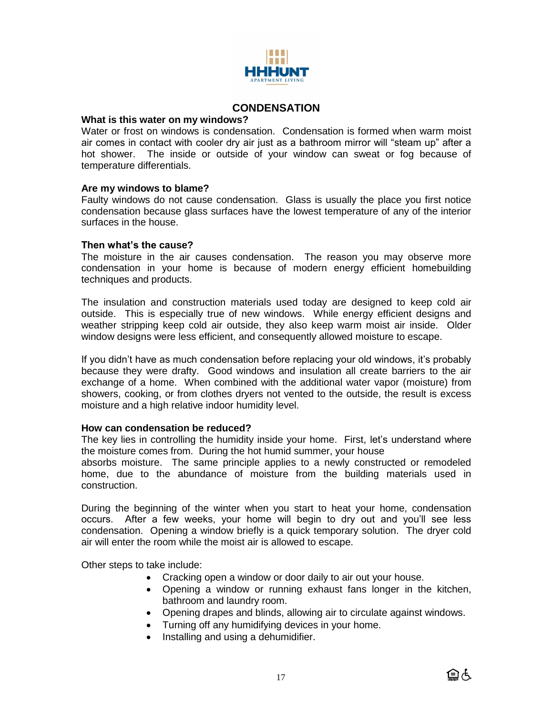

# **CONDENSATION**

#### **What is this water on my windows?**

Water or frost on windows is condensation. Condensation is formed when warm moist air comes in contact with cooler dry air just as a bathroom mirror will "steam up" after a hot shower. The inside or outside of your window can sweat or fog because of temperature differentials.

#### **Are my windows to blame?**

Faulty windows do not cause condensation. Glass is usually the place you first notice condensation because glass surfaces have the lowest temperature of any of the interior surfaces in the house.

#### **Then what's the cause?**

The moisture in the air causes condensation. The reason you may observe more condensation in your home is because of modern energy efficient homebuilding techniques and products.

The insulation and construction materials used today are designed to keep cold air outside. This is especially true of new windows. While energy efficient designs and weather stripping keep cold air outside, they also keep warm moist air inside. Older window designs were less efficient, and consequently allowed moisture to escape.

If you didn't have as much condensation before replacing your old windows, it's probably because they were drafty. Good windows and insulation all create barriers to the air exchange of a home. When combined with the additional water vapor (moisture) from showers, cooking, or from clothes dryers not vented to the outside, the result is excess moisture and a high relative indoor humidity level.

#### **How can condensation be reduced?**

The key lies in controlling the humidity inside your home. First, let's understand where the moisture comes from. During the hot humid summer, your house

absorbs moisture. The same principle applies to a newly constructed or remodeled home, due to the abundance of moisture from the building materials used in construction.

During the beginning of the winter when you start to heat your home, condensation occurs. After a few weeks, your home will begin to dry out and you'll see less condensation. Opening a window briefly is a quick temporary solution. The dryer cold air will enter the room while the moist air is allowed to escape.

Other steps to take include:

- Cracking open a window or door daily to air out your house.
- Opening a window or running exhaust fans longer in the kitchen, bathroom and laundry room.
- Opening drapes and blinds, allowing air to circulate against windows.
- Turning off any humidifying devices in your home.
- Installing and using a dehumidifier.

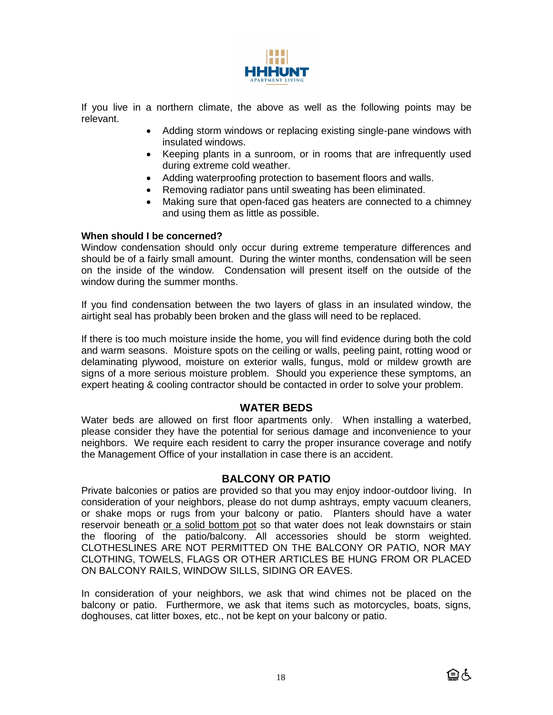

If you live in a northern climate, the above as well as the following points may be relevant.

- Adding storm windows or replacing existing single-pane windows with insulated windows.
- Keeping plants in a sunroom, or in rooms that are infrequently used during extreme cold weather.
- Adding waterproofing protection to basement floors and walls.
- Removing radiator pans until sweating has been eliminated.
- Making sure that open-faced gas heaters are connected to a chimney and using them as little as possible.

#### **When should I be concerned?**

Window condensation should only occur during extreme temperature differences and should be of a fairly small amount. During the winter months, condensation will be seen on the inside of the window. Condensation will present itself on the outside of the window during the summer months.

If you find condensation between the two layers of glass in an insulated window, the airtight seal has probably been broken and the glass will need to be replaced.

If there is too much moisture inside the home, you will find evidence during both the cold and warm seasons. Moisture spots on the ceiling or walls, peeling paint, rotting wood or delaminating plywood, moisture on exterior walls, fungus, mold or mildew growth are signs of a more serious moisture problem. Should you experience these symptoms, an expert heating & cooling contractor should be contacted in order to solve your problem.

## **WATER BEDS**

Water beds are allowed on first floor apartments only. When installing a waterbed, please consider they have the potential for serious damage and inconvenience to your neighbors. We require each resident to carry the proper insurance coverage and notify the Management Office of your installation in case there is an accident.

## **BALCONY OR PATIO**

Private balconies or patios are provided so that you may enjoy indoor-outdoor living. In consideration of your neighbors, please do not dump ashtrays, empty vacuum cleaners, or shake mops or rugs from your balcony or patio. Planters should have a water reservoir beneath or a solid bottom pot so that water does not leak downstairs or stain the flooring of the patio/balcony. All accessories should be storm weighted. CLOTHESLINES ARE NOT PERMITTED ON THE BALCONY OR PATIO, NOR MAY CLOTHING, TOWELS, FLAGS OR OTHER ARTICLES BE HUNG FROM OR PLACED ON BALCONY RAILS, WINDOW SILLS, SIDING OR EAVES.

In consideration of your neighbors, we ask that wind chimes not be placed on the balcony or patio. Furthermore, we ask that items such as motorcycles, boats, signs, doghouses, cat litter boxes, etc., not be kept on your balcony or patio.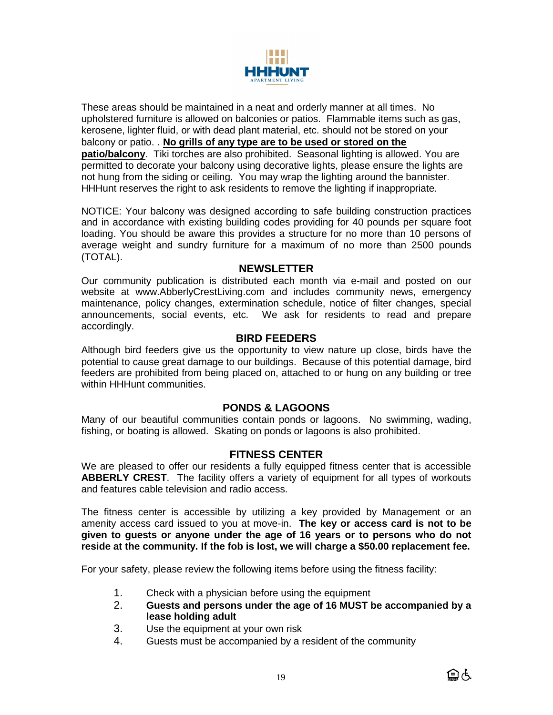

These areas should be maintained in a neat and orderly manner at all times. No upholstered furniture is allowed on balconies or patios. Flammable items such as gas, kerosene, lighter fluid, or with dead plant material, etc. should not be stored on your balcony or patio. . **No grills of any type are to be used or stored on the patio/balcony**. Tiki torches are also prohibited. Seasonal lighting is allowed. You are permitted to decorate your balcony using decorative lights, please ensure the lights are not hung from the siding or ceiling. You may wrap the lighting around the bannister. HHHunt reserves the right to ask residents to remove the lighting if inappropriate.

NOTICE: Your balcony was designed according to safe building construction practices and in accordance with existing building codes providing for 40 pounds per square foot loading. You should be aware this provides a structure for no more than 10 persons of average weight and sundry furniture for a maximum of no more than 2500 pounds (TOTAL).

## **NEWSLETTER**

Our community publication is distributed each month via e-mail and posted on our website at www.AbberlyCrestLiving.com and includes community news, emergency maintenance, policy changes, extermination schedule, notice of filter changes, special announcements, social events, etc. We ask for residents to read and prepare accordingly.

## **BIRD FEEDERS**

Although bird feeders give us the opportunity to view nature up close, birds have the potential to cause great damage to our buildings. Because of this potential damage, bird feeders are prohibited from being placed on, attached to or hung on any building or tree within HHHunt communities.

## **PONDS & LAGOONS**

Many of our beautiful communities contain ponds or lagoons. No swimming, wading, fishing, or boating is allowed. Skating on ponds or lagoons is also prohibited.

# **FITNESS CENTER**

We are pleased to offer our residents a fully equipped fitness center that is accessible **ABBERLY CREST**. The facility offers a variety of equipment for all types of workouts and features cable television and radio access.

The fitness center is accessible by utilizing a key provided by Management or an amenity access card issued to you at move-in. **The key or access card is not to be given to guests or anyone under the age of 16 years or to persons who do not reside at the community. If the fob is lost, we will charge a \$50.00 replacement fee.**

For your safety, please review the following items before using the fitness facility:

- 1. Check with a physician before using the equipment
- 2. **Guests and persons under the age of 16 MUST be accompanied by a lease holding adult**
- 3. Use the equipment at your own risk
- 4. Guests must be accompanied by a resident of the community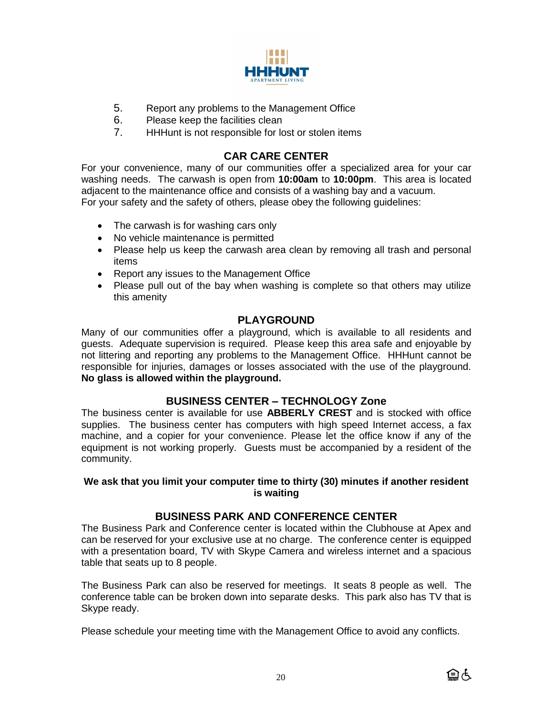

- 5. Report any problems to the Management Office
- 6. Please keep the facilities clean
- 7. HHHunt is not responsible for lost or stolen items

# **CAR CARE CENTER**

For your convenience, many of our communities offer a specialized area for your car washing needs. The carwash is open from **10:00am** to **10:00pm**. This area is located adjacent to the maintenance office and consists of a washing bay and a vacuum. For your safety and the safety of others, please obey the following guidelines:

- The carwash is for washing cars only
- No vehicle maintenance is permitted
- Please help us keep the carwash area clean by removing all trash and personal items
- Report any issues to the Management Office
- Please pull out of the bay when washing is complete so that others may utilize this amenity

# **PLAYGROUND**

Many of our communities offer a playground, which is available to all residents and guests. Adequate supervision is required. Please keep this area safe and enjoyable by not littering and reporting any problems to the Management Office. HHHunt cannot be responsible for injuries, damages or losses associated with the use of the playground. **No glass is allowed within the playground.**

# **BUSINESS CENTER – TECHNOLOGY Zone**

The business center is available for use **ABBERLY CREST** and is stocked with office supplies. The business center has computers with high speed Internet access, a fax machine, and a copier for your convenience. Please let the office know if any of the equipment is not working properly. Guests must be accompanied by a resident of the community.

#### **We ask that you limit your computer time to thirty (30) minutes if another resident is waiting**

# **BUSINESS PARK AND CONFERENCE CENTER**

The Business Park and Conference center is located within the Clubhouse at Apex and can be reserved for your exclusive use at no charge. The conference center is equipped with a presentation board, TV with Skype Camera and wireless internet and a spacious table that seats up to 8 people.

The Business Park can also be reserved for meetings. It seats 8 people as well. The conference table can be broken down into separate desks. This park also has TV that is Skype ready.

Please schedule your meeting time with the Management Office to avoid any conflicts.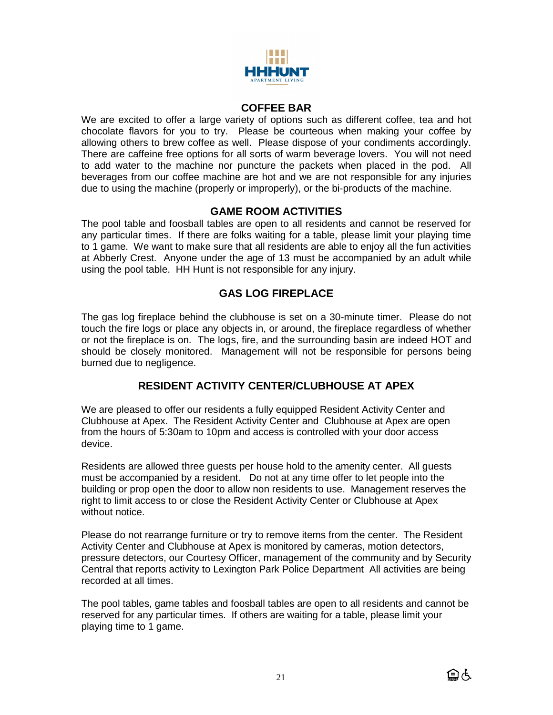

## **COFFEE BAR**

We are excited to offer a large variety of options such as different coffee, tea and hot chocolate flavors for you to try. Please be courteous when making your coffee by allowing others to brew coffee as well. Please dispose of your condiments accordingly. There are caffeine free options for all sorts of warm beverage lovers. You will not need to add water to the machine nor puncture the packets when placed in the pod. All beverages from our coffee machine are hot and we are not responsible for any injuries due to using the machine (properly or improperly), or the bi-products of the machine.

# **GAME ROOM ACTIVITIES**

The pool table and foosball tables are open to all residents and cannot be reserved for any particular times. If there are folks waiting for a table, please limit your playing time to 1 game. We want to make sure that all residents are able to enjoy all the fun activities at Abberly Crest. Anyone under the age of 13 must be accompanied by an adult while using the pool table. HH Hunt is not responsible for any injury.

# **GAS LOG FIREPLACE**

The gas log fireplace behind the clubhouse is set on a 30-minute timer. Please do not touch the fire logs or place any objects in, or around, the fireplace regardless of whether or not the fireplace is on. The logs, fire, and the surrounding basin are indeed HOT and should be closely monitored. Management will not be responsible for persons being burned due to negligence.

# **RESIDENT ACTIVITY CENTER/CLUBHOUSE AT APEX**

We are pleased to offer our residents a fully equipped Resident Activity Center and Clubhouse at Apex. The Resident Activity Center and Clubhouse at Apex are open from the hours of 5:30am to 10pm and access is controlled with your door access device.

Residents are allowed three guests per house hold to the amenity center. All guests must be accompanied by a resident. Do not at any time offer to let people into the building or prop open the door to allow non residents to use. Management reserves the right to limit access to or close the Resident Activity Center or Clubhouse at Apex without notice.

Please do not rearrange furniture or try to remove items from the center. The Resident Activity Center and Clubhouse at Apex is monitored by cameras, motion detectors, pressure detectors, our Courtesy Officer, management of the community and by Security Central that reports activity to Lexington Park Police Department All activities are being recorded at all times.

The pool tables, game tables and foosball tables are open to all residents and cannot be reserved for any particular times. If others are waiting for a table, please limit your playing time to 1 game.

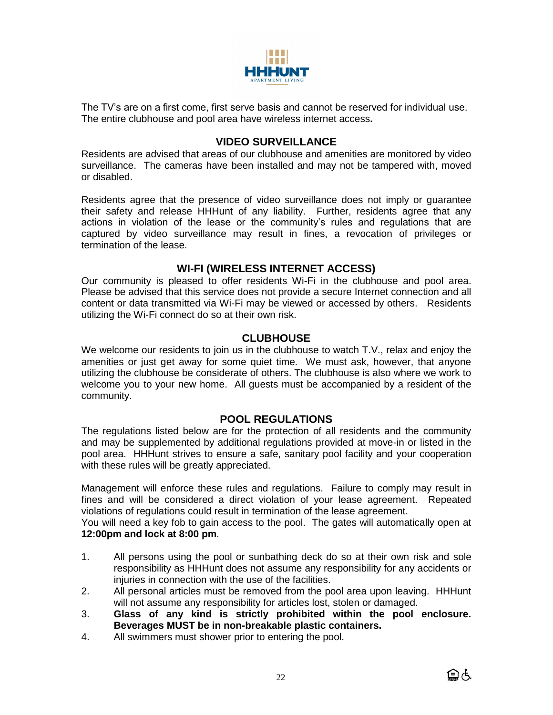

The TV's are on a first come, first serve basis and cannot be reserved for individual use. The entire clubhouse and pool area have wireless internet access**.** 

# **VIDEO SURVEILLANCE**

Residents are advised that areas of our clubhouse and amenities are monitored by video surveillance. The cameras have been installed and may not be tampered with, moved or disabled.

Residents agree that the presence of video surveillance does not imply or guarantee their safety and release HHHunt of any liability. Further, residents agree that any actions in violation of the lease or the community's rules and regulations that are captured by video surveillance may result in fines, a revocation of privileges or termination of the lease.

# **WI-FI (WIRELESS INTERNET ACCESS)**

Our community is pleased to offer residents Wi-Fi in the clubhouse and pool area. Please be advised that this service does not provide a secure Internet connection and all content or data transmitted via Wi-Fi may be viewed or accessed by others. Residents utilizing the Wi-Fi connect do so at their own risk.

## **CLUBHOUSE**

We welcome our residents to join us in the clubhouse to watch T.V., relax and enjoy the amenities or just get away for some quiet time. We must ask, however, that anyone utilizing the clubhouse be considerate of others. The clubhouse is also where we work to welcome you to your new home. All guests must be accompanied by a resident of the community.

# **POOL REGULATIONS**

The regulations listed below are for the protection of all residents and the community and may be supplemented by additional regulations provided at move-in or listed in the pool area. HHHunt strives to ensure a safe, sanitary pool facility and your cooperation with these rules will be greatly appreciated.

Management will enforce these rules and regulations. Failure to comply may result in fines and will be considered a direct violation of your lease agreement. Repeated violations of regulations could result in termination of the lease agreement.

You will need a key fob to gain access to the pool. The gates will automatically open at **12:00pm and lock at 8:00 pm**.

- 1. All persons using the pool or sunbathing deck do so at their own risk and sole responsibility as HHHunt does not assume any responsibility for any accidents or injuries in connection with the use of the facilities.
- 2. All personal articles must be removed from the pool area upon leaving. HHHunt will not assume any responsibility for articles lost, stolen or damaged.
- 3. **Glass of any kind is strictly prohibited within the pool enclosure. Beverages MUST be in non-breakable plastic containers.**
- 4. All swimmers must shower prior to entering the pool.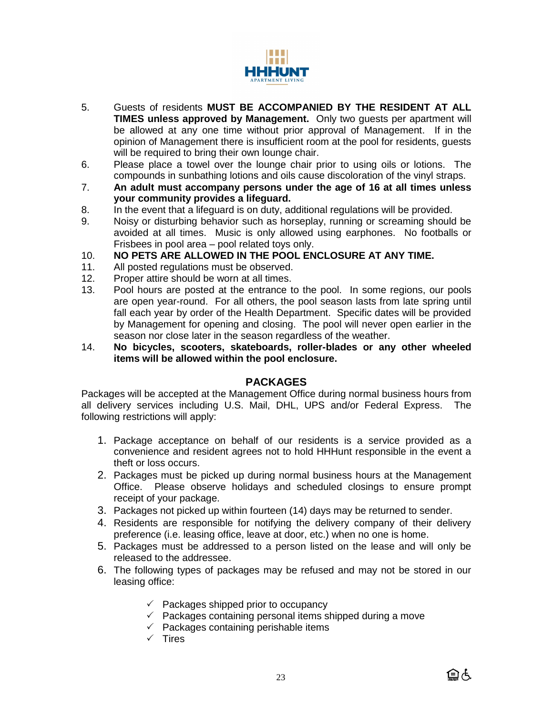

- 5. Guests of residents **MUST BE ACCOMPANIED BY THE RESIDENT AT ALL TIMES unless approved by Management.** Only two guests per apartment will be allowed at any one time without prior approval of Management. If in the opinion of Management there is insufficient room at the pool for residents, guests will be required to bring their own lounge chair.
- 6. Please place a towel over the lounge chair prior to using oils or lotions. The compounds in sunbathing lotions and oils cause discoloration of the vinyl straps.
- 7. **An adult must accompany persons under the age of 16 at all times unless your community provides a lifeguard.**
- 8. In the event that a lifeguard is on duty, additional regulations will be provided.
- 9. Noisy or disturbing behavior such as horseplay, running or screaming should be avoided at all times. Music is only allowed using earphones. No footballs or Frisbees in pool area – pool related toys only.
- 10. **NO PETS ARE ALLOWED IN THE POOL ENCLOSURE AT ANY TIME.**
- 11. All posted regulations must be observed.
- 12. Proper attire should be worn at all times.
- 13. Pool hours are posted at the entrance to the pool. In some regions, our pools are open year-round. For all others, the pool season lasts from late spring until fall each year by order of the Health Department. Specific dates will be provided by Management for opening and closing. The pool will never open earlier in the season nor close later in the season regardless of the weather.
- 14. **No bicycles, scooters, skateboards, roller-blades or any other wheeled items will be allowed within the pool enclosure.**

## **PACKAGES**

Packages will be accepted at the Management Office during normal business hours from all delivery services including U.S. Mail, DHL, UPS and/or Federal Express. The following restrictions will apply:

- 1. Package acceptance on behalf of our residents is a service provided as a convenience and resident agrees not to hold HHHunt responsible in the event a theft or loss occurs.
- 2. Packages must be picked up during normal business hours at the Management Office. Please observe holidays and scheduled closings to ensure prompt receipt of your package.
- 3. Packages not picked up within fourteen (14) days may be returned to sender.
- 4. Residents are responsible for notifying the delivery company of their delivery preference (i.e. leasing office, leave at door, etc.) when no one is home.
- 5. Packages must be addressed to a person listed on the lease and will only be released to the addressee.
- 6. The following types of packages may be refused and may not be stored in our leasing office:
	- $\checkmark$  Packages shipped prior to occupancy
	- $\checkmark$  Packages containing personal items shipped during a move
	- $\checkmark$  Packages containing perishable items
	- $\checkmark$  Tires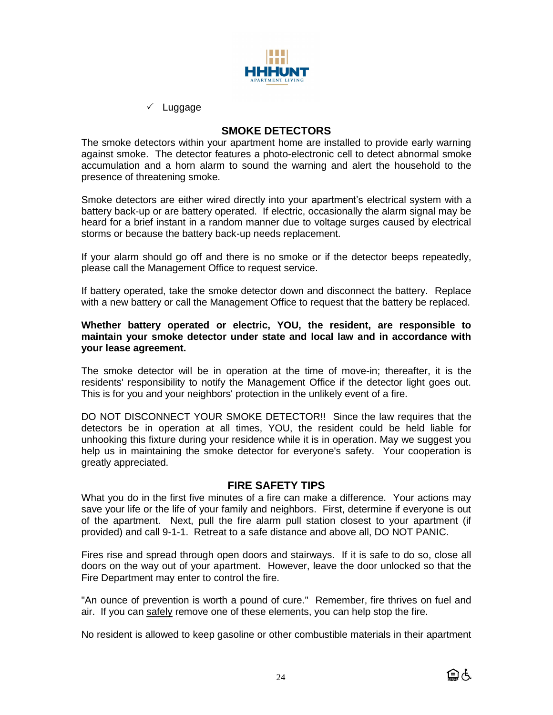

 $\checkmark$  Luggage

# **SMOKE DETECTORS**

The smoke detectors within your apartment home are installed to provide early warning against smoke. The detector features a photo-electronic cell to detect abnormal smoke accumulation and a horn alarm to sound the warning and alert the household to the presence of threatening smoke.

Smoke detectors are either wired directly into your apartment's electrical system with a battery back-up or are battery operated. If electric, occasionally the alarm signal may be heard for a brief instant in a random manner due to voltage surges caused by electrical storms or because the battery back-up needs replacement.

If your alarm should go off and there is no smoke or if the detector beeps repeatedly, please call the Management Office to request service.

If battery operated, take the smoke detector down and disconnect the battery. Replace with a new battery or call the Management Office to request that the battery be replaced.

#### **Whether battery operated or electric, YOU, the resident, are responsible to maintain your smoke detector under state and local law and in accordance with your lease agreement.**

The smoke detector will be in operation at the time of move-in; thereafter, it is the residents' responsibility to notify the Management Office if the detector light goes out. This is for you and your neighbors' protection in the unlikely event of a fire.

DO NOT DISCONNECT YOUR SMOKE DETECTOR!! Since the law requires that the detectors be in operation at all times, YOU, the resident could be held liable for unhooking this fixture during your residence while it is in operation. May we suggest you help us in maintaining the smoke detector for everyone's safety. Your cooperation is greatly appreciated.

## **FIRE SAFETY TIPS**

What you do in the first five minutes of a fire can make a difference. Your actions may save your life or the life of your family and neighbors. First, determine if everyone is out of the apartment. Next, pull the fire alarm pull station closest to your apartment (if provided) and call 9-1-1. Retreat to a safe distance and above all, DO NOT PANIC.

Fires rise and spread through open doors and stairways. If it is safe to do so, close all doors on the way out of your apartment. However, leave the door unlocked so that the Fire Department may enter to control the fire.

"An ounce of prevention is worth a pound of cure." Remember, fire thrives on fuel and air. If you can safely remove one of these elements, you can help stop the fire.

No resident is allowed to keep gasoline or other combustible materials in their apartment

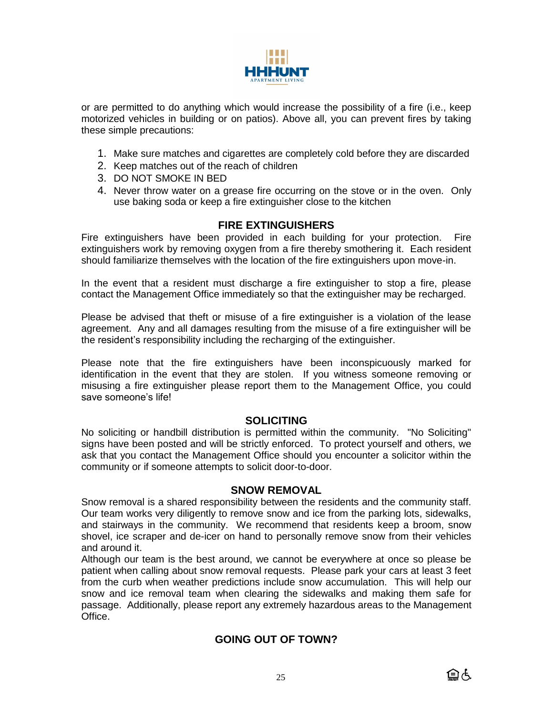

or are permitted to do anything which would increase the possibility of a fire (i.e., keep motorized vehicles in building or on patios). Above all, you can prevent fires by taking these simple precautions:

- 1. Make sure matches and cigarettes are completely cold before they are discarded
- 2. Keep matches out of the reach of children
- 3. DO NOT SMOKE IN BED
- 4. Never throw water on a grease fire occurring on the stove or in the oven. Only use baking soda or keep a fire extinguisher close to the kitchen

## **FIRE EXTINGUISHERS**

Fire extinguishers have been provided in each building for your protection. Fire extinguishers work by removing oxygen from a fire thereby smothering it. Each resident should familiarize themselves with the location of the fire extinguishers upon move-in.

In the event that a resident must discharge a fire extinguisher to stop a fire, please contact the Management Office immediately so that the extinguisher may be recharged.

Please be advised that theft or misuse of a fire extinguisher is a violation of the lease agreement. Any and all damages resulting from the misuse of a fire extinguisher will be the resident's responsibility including the recharging of the extinguisher.

Please note that the fire extinguishers have been inconspicuously marked for identification in the event that they are stolen. If you witness someone removing or misusing a fire extinguisher please report them to the Management Office, you could save someone's life!

## **SOLICITING**

No soliciting or handbill distribution is permitted within the community. "No Soliciting" signs have been posted and will be strictly enforced. To protect yourself and others, we ask that you contact the Management Office should you encounter a solicitor within the community or if someone attempts to solicit door-to-door.

#### **SNOW REMOVAL**

Snow removal is a shared responsibility between the residents and the community staff. Our team works very diligently to remove snow and ice from the parking lots, sidewalks, and stairways in the community. We recommend that residents keep a broom, snow shovel, ice scraper and de-icer on hand to personally remove snow from their vehicles and around it.

Although our team is the best around, we cannot be everywhere at once so please be patient when calling about snow removal requests. Please park your cars at least 3 feet from the curb when weather predictions include snow accumulation. This will help our snow and ice removal team when clearing the sidewalks and making them safe for passage. Additionally, please report any extremely hazardous areas to the Management Office.

# **GOING OUT OF TOWN?**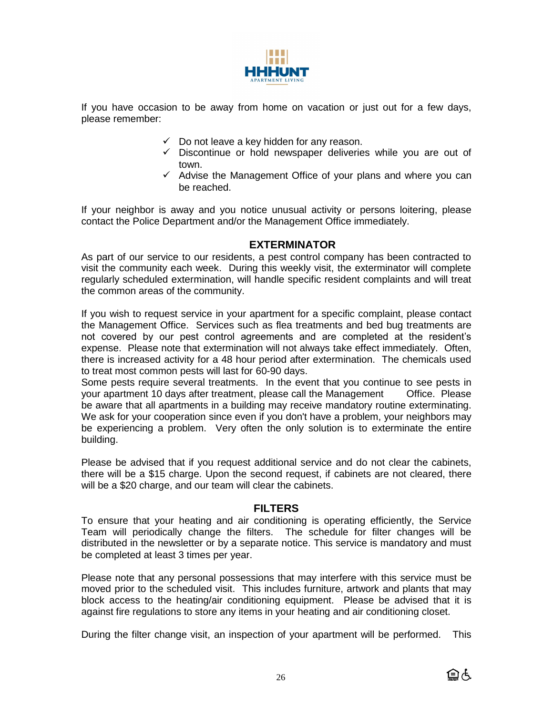

If you have occasion to be away from home on vacation or just out for a few days, please remember:

- $\checkmark$  Do not leave a key hidden for any reason.
- $\checkmark$  Discontinue or hold newspaper deliveries while you are out of town.
- ✓ Advise the Management Office of your plans and where you can be reached.

If your neighbor is away and you notice unusual activity or persons loitering, please contact the Police Department and/or the Management Office immediately.

## **EXTERMINATOR**

As part of our service to our residents, a pest control company has been contracted to visit the community each week. During this weekly visit, the exterminator will complete regularly scheduled extermination, will handle specific resident complaints and will treat the common areas of the community.

If you wish to request service in your apartment for a specific complaint, please contact the Management Office. Services such as flea treatments and bed bug treatments are not covered by our pest control agreements and are completed at the resident's expense. Please note that extermination will not always take effect immediately. Often, there is increased activity for a 48 hour period after extermination. The chemicals used to treat most common pests will last for 60-90 days.

Some pests require several treatments. In the event that you continue to see pests in your apartment 10 days after treatment, please call the Management Office. Please be aware that all apartments in a building may receive mandatory routine exterminating. We ask for your cooperation since even if you don't have a problem, your neighbors may be experiencing a problem. Very often the only solution is to exterminate the entire building.

Please be advised that if you request additional service and do not clear the cabinets, there will be a \$15 charge. Upon the second request, if cabinets are not cleared, there will be a \$20 charge, and our team will clear the cabinets.

# **FILTERS**

To ensure that your heating and air conditioning is operating efficiently, the Service Team will periodically change the filters. The schedule for filter changes will be distributed in the newsletter or by a separate notice. This service is mandatory and must be completed at least 3 times per year.

Please note that any personal possessions that may interfere with this service must be moved prior to the scheduled visit. This includes furniture, artwork and plants that may block access to the heating/air conditioning equipment. Please be advised that it is against fire regulations to store any items in your heating and air conditioning closet.

During the filter change visit, an inspection of your apartment will be performed. This

自占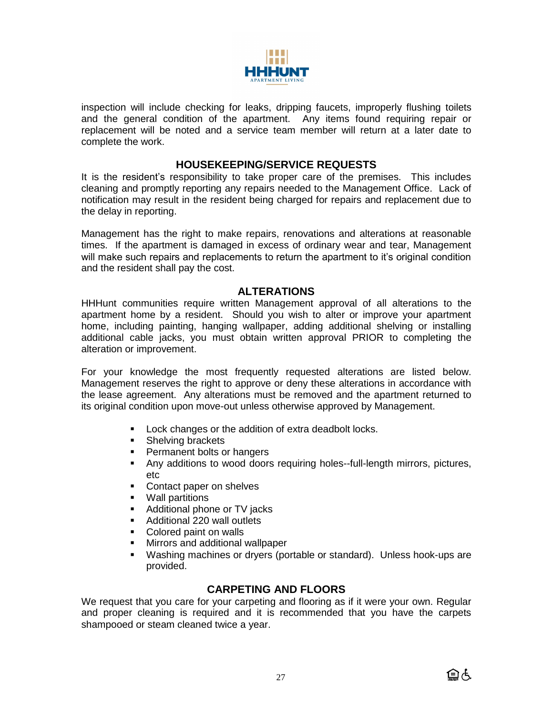

inspection will include checking for leaks, dripping faucets, improperly flushing toilets and the general condition of the apartment. Any items found requiring repair or replacement will be noted and a service team member will return at a later date to complete the work.

## **HOUSEKEEPING/SERVICE REQUESTS**

It is the resident's responsibility to take proper care of the premises. This includes cleaning and promptly reporting any repairs needed to the Management Office. Lack of notification may result in the resident being charged for repairs and replacement due to the delay in reporting.

Management has the right to make repairs, renovations and alterations at reasonable times. If the apartment is damaged in excess of ordinary wear and tear, Management will make such repairs and replacements to return the apartment to it's original condition and the resident shall pay the cost.

## **ALTERATIONS**

HHHunt communities require written Management approval of all alterations to the apartment home by a resident. Should you wish to alter or improve your apartment home, including painting, hanging wallpaper, adding additional shelving or installing additional cable jacks, you must obtain written approval PRIOR to completing the alteration or improvement.

For your knowledge the most frequently requested alterations are listed below. Management reserves the right to approve or deny these alterations in accordance with the lease agreement. Any alterations must be removed and the apartment returned to its original condition upon move-out unless otherwise approved by Management.

- Lock changes or the addition of extra deadbolt locks.
- Shelving brackets
- Permanent bolts or hangers
- **•** Any additions to wood doors requiring holes--full-length mirrors, pictures, etc
- Contact paper on shelves
- Wall partitions
- Additional phone or TV jacks
- Additional 220 wall outlets
- Colored paint on walls
- Mirrors and additional wallpaper
- Washing machines or dryers (portable or standard). Unless hook-ups are provided.

## **CARPETING AND FLOORS**

We request that you care for your carpeting and flooring as if it were your own. Regular and proper cleaning is required and it is recommended that you have the carpets shampooed or steam cleaned twice a year.

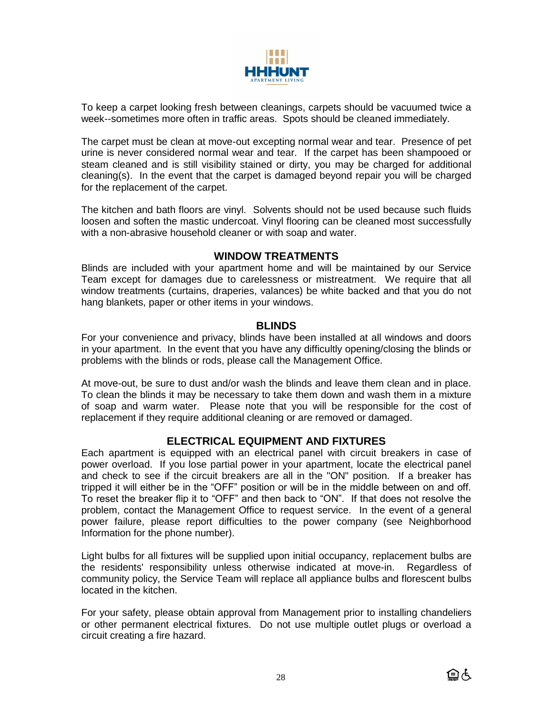

To keep a carpet looking fresh between cleanings, carpets should be vacuumed twice a week--sometimes more often in traffic areas. Spots should be cleaned immediately.

The carpet must be clean at move-out excepting normal wear and tear. Presence of pet urine is never considered normal wear and tear. If the carpet has been shampooed or steam cleaned and is still visibility stained or dirty, you may be charged for additional cleaning(s). In the event that the carpet is damaged beyond repair you will be charged for the replacement of the carpet.

The kitchen and bath floors are vinyl. Solvents should not be used because such fluids loosen and soften the mastic undercoat. Vinyl flooring can be cleaned most successfully with a non-abrasive household cleaner or with soap and water.

## **WINDOW TREATMENTS**

Blinds are included with your apartment home and will be maintained by our Service Team except for damages due to carelessness or mistreatment. We require that all window treatments (curtains, draperies, valances) be white backed and that you do not hang blankets, paper or other items in your windows.

#### **BLINDS**

For your convenience and privacy, blinds have been installed at all windows and doors in your apartment. In the event that you have any difficultly opening/closing the blinds or problems with the blinds or rods, please call the Management Office.

At move-out, be sure to dust and/or wash the blinds and leave them clean and in place. To clean the blinds it may be necessary to take them down and wash them in a mixture of soap and warm water. Please note that you will be responsible for the cost of replacement if they require additional cleaning or are removed or damaged.

# **ELECTRICAL EQUIPMENT AND FIXTURES**

Each apartment is equipped with an electrical panel with circuit breakers in case of power overload. If you lose partial power in your apartment, locate the electrical panel and check to see if the circuit breakers are all in the "ON" position. If a breaker has tripped it will either be in the "OFF" position or will be in the middle between on and off. To reset the breaker flip it to "OFF" and then back to "ON". If that does not resolve the problem, contact the Management Office to request service. In the event of a general power failure, please report difficulties to the power company (see Neighborhood Information for the phone number).

Light bulbs for all fixtures will be supplied upon initial occupancy, replacement bulbs are the residents' responsibility unless otherwise indicated at move-in. Regardless of community policy, the Service Team will replace all appliance bulbs and florescent bulbs located in the kitchen.

For your safety, please obtain approval from Management prior to installing chandeliers or other permanent electrical fixtures. Do not use multiple outlet plugs or overload a circuit creating a fire hazard.

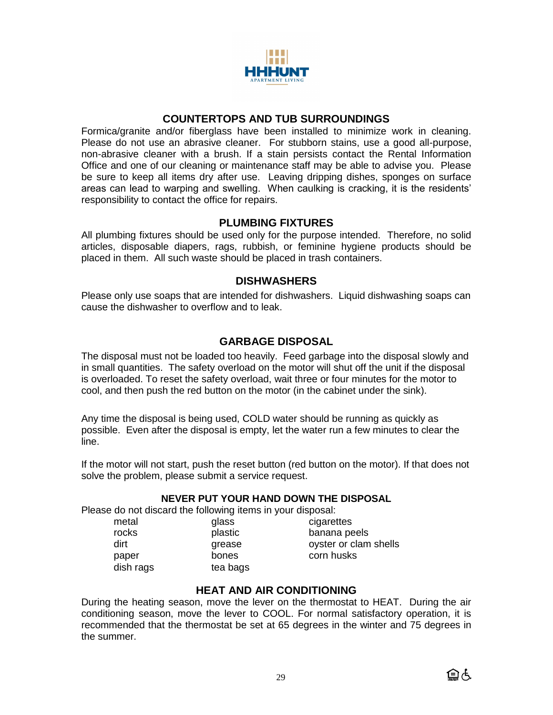

# **COUNTERTOPS AND TUB SURROUNDINGS**

Formica/granite and/or fiberglass have been installed to minimize work in cleaning. Please do not use an abrasive cleaner. For stubborn stains, use a good all-purpose, non-abrasive cleaner with a brush. If a stain persists contact the Rental Information Office and one of our cleaning or maintenance staff may be able to advise you. Please be sure to keep all items dry after use. Leaving dripping dishes, sponges on surface areas can lead to warping and swelling. When caulking is cracking, it is the residents' responsibility to contact the office for repairs.

## **PLUMBING FIXTURES**

All plumbing fixtures should be used only for the purpose intended. Therefore, no solid articles, disposable diapers, rags, rubbish, or feminine hygiene products should be placed in them. All such waste should be placed in trash containers.

## **DISHWASHERS**

Please only use soaps that are intended for dishwashers. Liquid dishwashing soaps can cause the dishwasher to overflow and to leak.

# **GARBAGE DISPOSAL**

The disposal must not be loaded too heavily. Feed garbage into the disposal slowly and in small quantities. The safety overload on the motor will shut off the unit if the disposal is overloaded. To reset the safety overload, wait three or four minutes for the motor to cool, and then push the red button on the motor (in the cabinet under the sink).

Any time the disposal is being used, COLD water should be running as quickly as possible. Even after the disposal is empty, let the water run a few minutes to clear the line.

If the motor will not start, push the reset button (red button on the motor). If that does not solve the problem, please submit a service request.

#### **NEVER PUT YOUR HAND DOWN THE DISPOSAL**

Please do not discard the following items in your disposal:

| metal     | glass    |
|-----------|----------|
| rocks     | plastic  |
| dirt      | grease   |
| paper     | bones    |
| dish rags | tea bags |
|           |          |

as cigarettes rocks banana peels ease oyster or clam shells nes corn husks

# **HEAT AND AIR CONDITIONING**

During the heating season, move the lever on the thermostat to HEAT. During the air conditioning season, move the lever to COOL. For normal satisfactory operation, it is recommended that the thermostat be set at 65 degrees in the winter and 75 degrees in the summer.

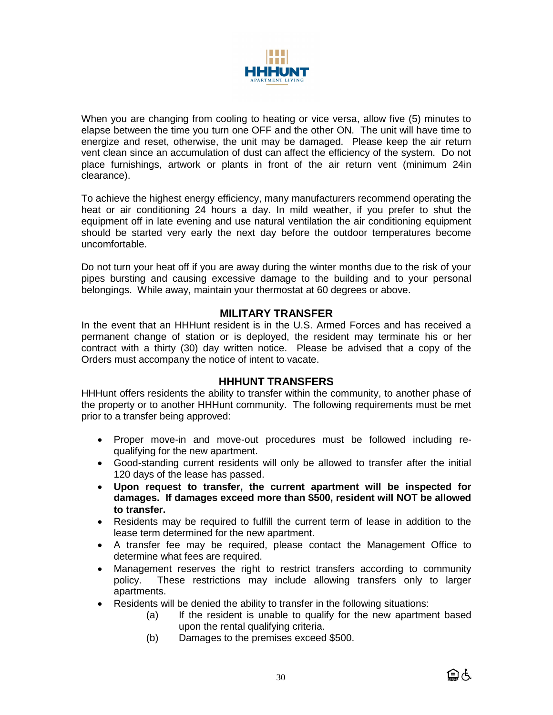

When you are changing from cooling to heating or vice versa, allow five (5) minutes to elapse between the time you turn one OFF and the other ON. The unit will have time to energize and reset, otherwise, the unit may be damaged. Please keep the air return vent clean since an accumulation of dust can affect the efficiency of the system. Do not place furnishings, artwork or plants in front of the air return vent (minimum 24in clearance).

To achieve the highest energy efficiency, many manufacturers recommend operating the heat or air conditioning 24 hours a day. In mild weather, if you prefer to shut the equipment off in late evening and use natural ventilation the air conditioning equipment should be started very early the next day before the outdoor temperatures become uncomfortable.

Do not turn your heat off if you are away during the winter months due to the risk of your pipes bursting and causing excessive damage to the building and to your personal belongings. While away, maintain your thermostat at 60 degrees or above.

## **MILITARY TRANSFER**

In the event that an HHHunt resident is in the U.S. Armed Forces and has received a permanent change of station or is deployed, the resident may terminate his or her contract with a thirty (30) day written notice. Please be advised that a copy of the Orders must accompany the notice of intent to vacate.

## **HHHUNT TRANSFERS**

HHHunt offers residents the ability to transfer within the community, to another phase of the property or to another HHHunt community. The following requirements must be met prior to a transfer being approved:

- Proper move-in and move-out procedures must be followed including requalifying for the new apartment.
- Good-standing current residents will only be allowed to transfer after the initial 120 days of the lease has passed.
- **Upon request to transfer, the current apartment will be inspected for damages. If damages exceed more than \$500, resident will NOT be allowed to transfer.**
- Residents may be required to fulfill the current term of lease in addition to the lease term determined for the new apartment.
- A transfer fee may be required, please contact the Management Office to determine what fees are required.
- Management reserves the right to restrict transfers according to community policy. These restrictions may include allowing transfers only to larger apartments.
- Residents will be denied the ability to transfer in the following situations:
	- (a) If the resident is unable to qualify for the new apartment based upon the rental qualifying criteria.
	- (b) Damages to the premises exceed \$500.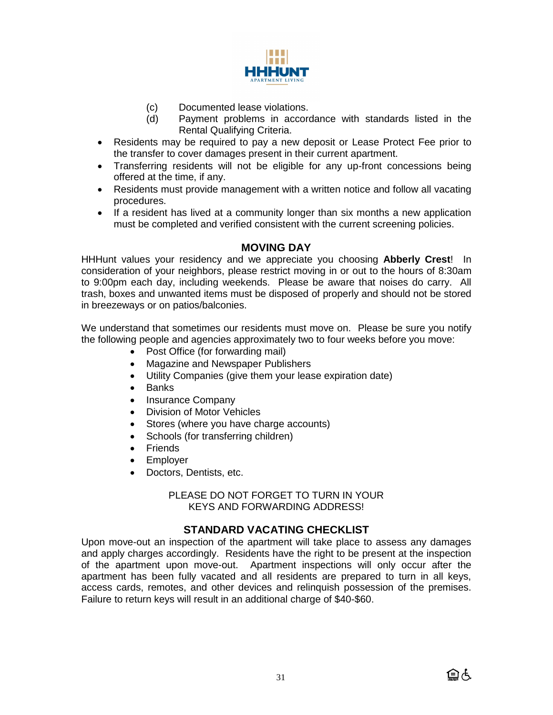

- (c) Documented lease violations.
- (d) Payment problems in accordance with standards listed in the Rental Qualifying Criteria.
- Residents may be required to pay a new deposit or Lease Protect Fee prior to the transfer to cover damages present in their current apartment.
- Transferring residents will not be eligible for any up-front concessions being offered at the time, if any.
- Residents must provide management with a written notice and follow all vacating procedures.
- If a resident has lived at a community longer than six months a new application must be completed and verified consistent with the current screening policies.

# **MOVING DAY**

HHHunt values your residency and we appreciate you choosing **Abberly Crest**! In consideration of your neighbors, please restrict moving in or out to the hours of 8:30am to 9:00pm each day, including weekends. Please be aware that noises do carry. All trash, boxes and unwanted items must be disposed of properly and should not be stored in breezeways or on patios/balconies.

We understand that sometimes our residents must move on. Please be sure you notify the following people and agencies approximately two to four weeks before you move:

- Post Office (for forwarding mail)
- Magazine and Newspaper Publishers
- Utility Companies (give them your lease expiration date)
- Banks
- Insurance Company
- Division of Motor Vehicles
- Stores (where you have charge accounts)
- Schools (for transferring children)
- Friends
- Employer
- Doctors, Dentists, etc.

PLEASE DO NOT FORGET TO TURN IN YOUR KEYS AND FORWARDING ADDRESS!

# **STANDARD VACATING CHECKLIST**

Upon move-out an inspection of the apartment will take place to assess any damages and apply charges accordingly. Residents have the right to be present at the inspection of the apartment upon move-out. Apartment inspections will only occur after the apartment has been fully vacated and all residents are prepared to turn in all keys, access cards, remotes, and other devices and relinquish possession of the premises. Failure to return keys will result in an additional charge of \$40-\$60.